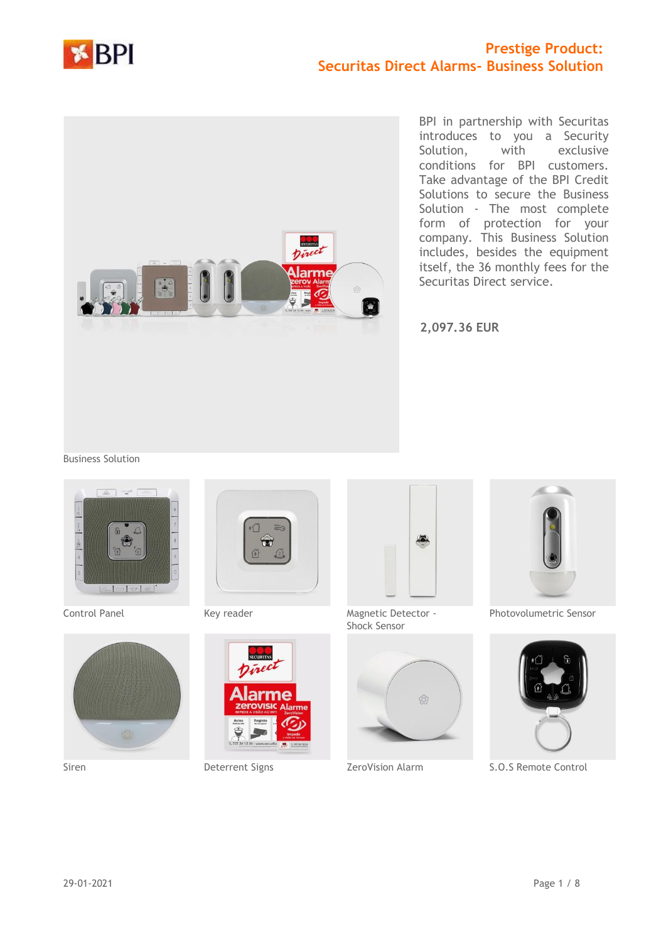



BPI in partnership with Securitas introduces to you a Security Solution, with exclusive conditions for BPI customers. Take advantage of the BPI Credit Solutions to secure the Business Solution - The most complete form of protection for your company. This Business Solution includes, besides the equipment itself, the 36 monthly fees for the Securitas Direct service.

**2,097.36 EUR**

#### Business Solution











Control Panel **Key reader** Magnetic Detector -Shock Sensor





Photovolumetric Sensor



Siren Deterrent Signs ZeroVision Alarm S.O.S Remote Control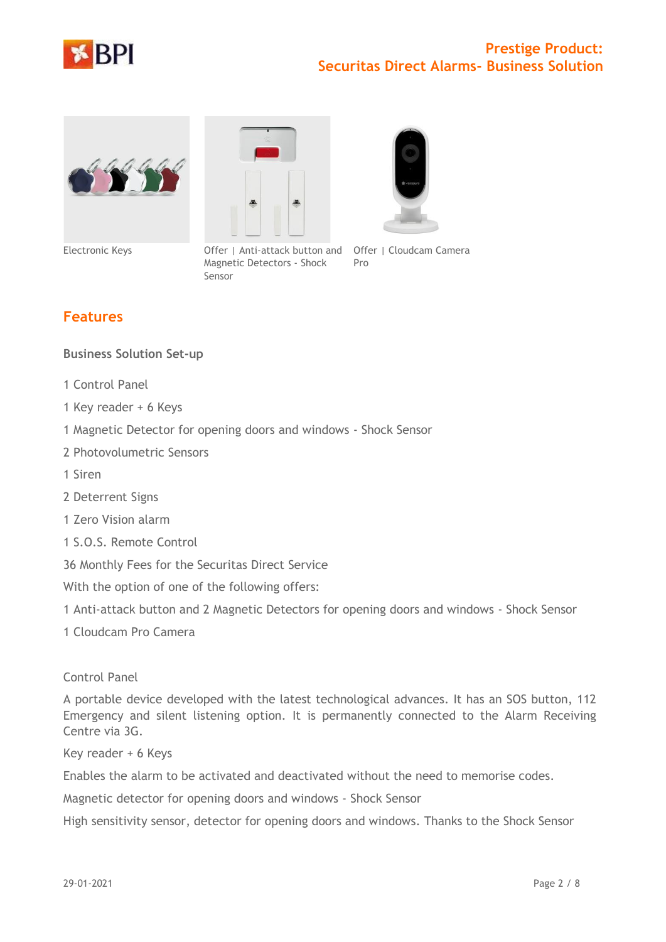







Electronic Keys **Offer | Anti-attack button and Offer | Cloudcam Camera** Magnetic Detectors - Shock Pro

# **Features**

### **Business Solution Set-up**

- 1 Control Panel
- 1 Key reader + 6 Keys
- 1 Magnetic Detector for opening doors and windows Shock Sensor

Sensor

- 2 Photovolumetric Sensors
- 1 Siren
- 2 Deterrent Signs
- 1 Zero Vision alarm
- 1 S.O.S. Remote Control

36 Monthly Fees for the Securitas Direct Service

With the option of one of the following offers:

1 Anti-attack button and 2 Magnetic Detectors for opening doors and windows - Shock Sensor

1 Cloudcam Pro Camera

#### Control Panel

A portable device developed with the latest technological advances. It has an SOS button, 112 Emergency and silent listening option. It is permanently connected to the Alarm Receiving Centre via 3G.

Key reader + 6 Keys

Enables the alarm to be activated and deactivated without the need to memorise codes.

Magnetic detector for opening doors and windows - Shock Sensor

High sensitivity sensor, detector for opening doors and windows. Thanks to the Shock Sensor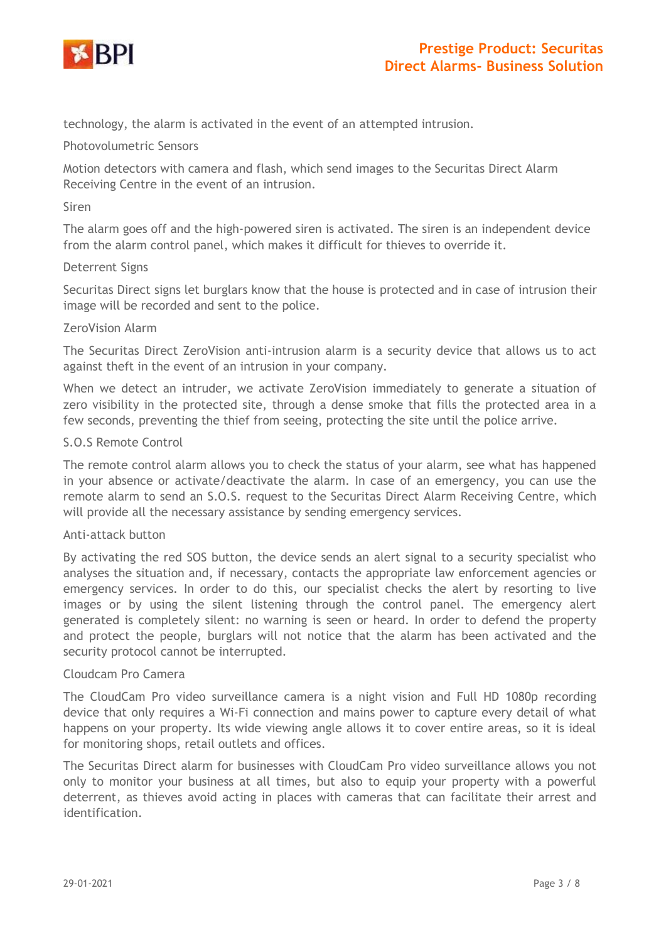

technology, the alarm is activated in the event of an attempted intrusion.

#### Photovolumetric Sensors

Motion detectors with camera and flash, which send images to the Securitas Direct Alarm Receiving Centre in the event of an intrusion.

#### Siren

The alarm goes off and the high-powered siren is activated. The siren is an independent device from the alarm control panel, which makes it difficult for thieves to override it.

#### Deterrent Signs

Securitas Direct signs let burglars know that the house is protected and in case of intrusion their image will be recorded and sent to the police.

#### ZeroVision Alarm

The Securitas Direct ZeroVision anti-intrusion alarm is a security device that allows us to act against theft in the event of an intrusion in your company.

When we detect an intruder, we activate ZeroVision immediately to generate a situation of zero visibility in the protected site, through a dense smoke that fills the protected area in a few seconds, preventing the thief from seeing, protecting the site until the police arrive.

#### S.O.S Remote Control

The remote control alarm allows you to check the status of your alarm, see what has happened in your absence or activate/deactivate the alarm. In case of an emergency, you can use the remote alarm to send an S.O.S. request to the Securitas Direct Alarm Receiving Centre, which will provide all the necessary assistance by sending emergency services.

### Anti-attack button

By activating the red SOS button, the device sends an alert signal to a security specialist who analyses the situation and, if necessary, contacts the appropriate law enforcement agencies or emergency services. In order to do this, our specialist checks the alert by resorting to live images or by using the silent listening through the control panel. The emergency alert generated is completely silent: no warning is seen or heard. In order to defend the property and protect the people, burglars will not notice that the alarm has been activated and the security protocol cannot be interrupted.

#### Cloudcam Pro Camera

The CloudCam Pro video surveillance camera is a night vision and Full HD 1080p recording device that only requires a Wi-Fi connection and mains power to capture every detail of what happens on your property. Its wide viewing angle allows it to cover entire areas, so it is ideal for monitoring shops, retail outlets and offices.

The Securitas Direct alarm for businesses with CloudCam Pro video surveillance allows you not only to monitor your business at all times, but also to equip your property with a powerful deterrent, as thieves avoid acting in places with cameras that can facilitate their arrest and identification.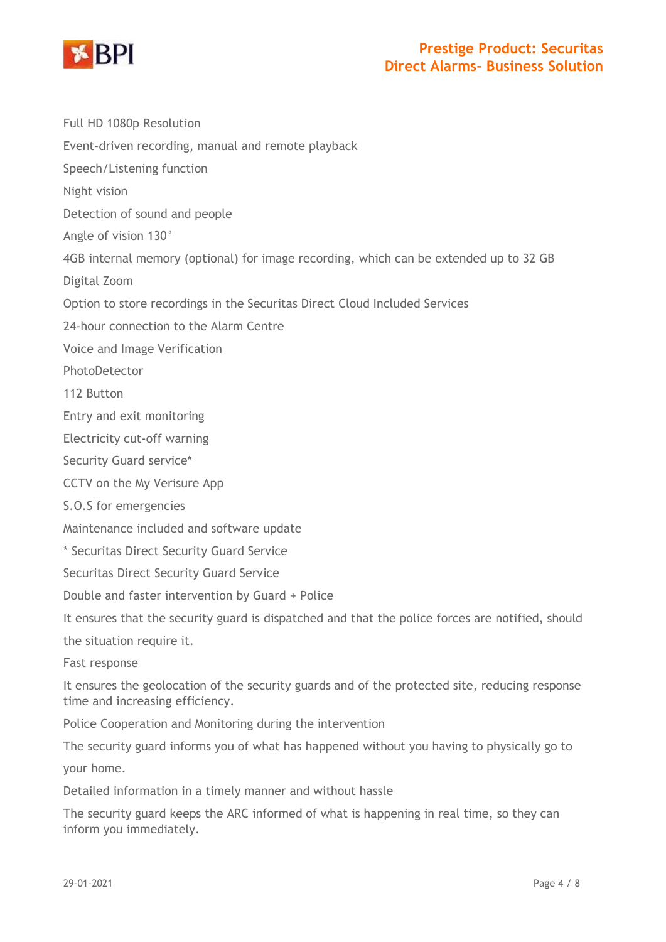

Full HD 1080p Resolution

Event-driven recording, manual and remote playback

Speech/Listening function

Night vision

Detection of sound and people

Angle of vision 130°

4GB internal memory (optional) for image recording, which can be extended up to 32 GB

Digital Zoom

Option to store recordings in the Securitas Direct Cloud Included Services

24-hour connection to the Alarm Centre

Voice and Image Verification

PhotoDetector

112 Button

Entry and exit monitoring

Electricity cut-off warning

Security Guard service\*

CCTV on the My Verisure App

#### S.O.S for emergencies

Maintenance included and software update

\* Securitas Direct Security Guard Service

Securitas Direct Security Guard Service

Double and faster intervention by Guard + Police

It ensures that the security guard is dispatched and that the police forces are notified, should

the situation require it.

Fast response

It ensures the geolocation of the security guards and of the protected site, reducing response time and increasing efficiency.

Police Cooperation and Monitoring during the intervention

The security guard informs you of what has happened without you having to physically go to your home.

Detailed information in a timely manner and without hassle

The security guard keeps the ARC informed of what is happening in real time, so they can inform you immediately.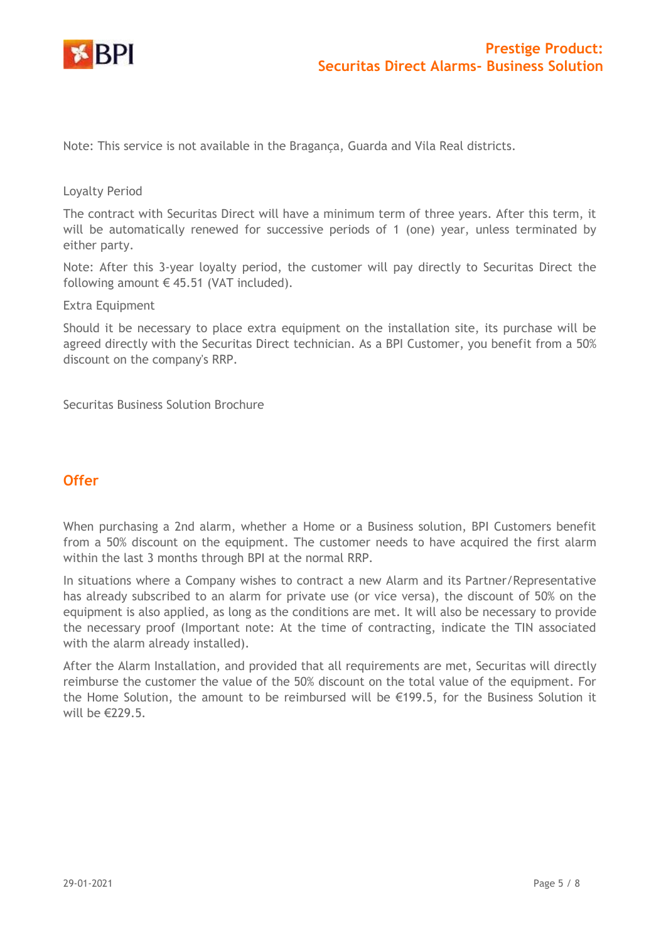

Note: This service is not available in the Bragança, Guarda and Vila Real districts.

#### Loyalty Period

The contract with Securitas Direct will have a minimum term of three years. After this term, it will be automatically renewed for successive periods of 1 (one) year, unless terminated by either party.

Note: After this 3-year loyalty period, the customer will pay directly to Securitas Direct the following amount  $\in$  45.51 (VAT included).

Extra Equipment

Should it be necessary to place extra equipment on the installation site, its purchase will be agreed directly with the Securitas Direct technician. As a BPI Customer, you benefit from a 50% discount on the company's RRP.

Securitas Business Solution Brochure

### **Offer**

When purchasing a 2nd alarm, whether a Home or a Business solution, BPI Customers benefit from a 50% discount on the equipment. The customer needs to have acquired the first alarm within the last 3 months through BPI at the normal RRP.

In situations where a Company wishes to contract a new Alarm and its Partner/Representative has already subscribed to an alarm for private use (or vice versa), the discount of 50% on the equipment is also applied, as long as the conditions are met. It will also be necessary to provide the necessary proof (Important note: At the time of contracting, indicate the TIN associated with the alarm already installed).

After the Alarm Installation, and provided that all requirements are met, Securitas will directly reimburse the customer the value of the 50% discount on the total value of the equipment. For the Home Solution, the amount to be reimbursed will be  $\epsilon$ 199.5, for the Business Solution it will be €229.5.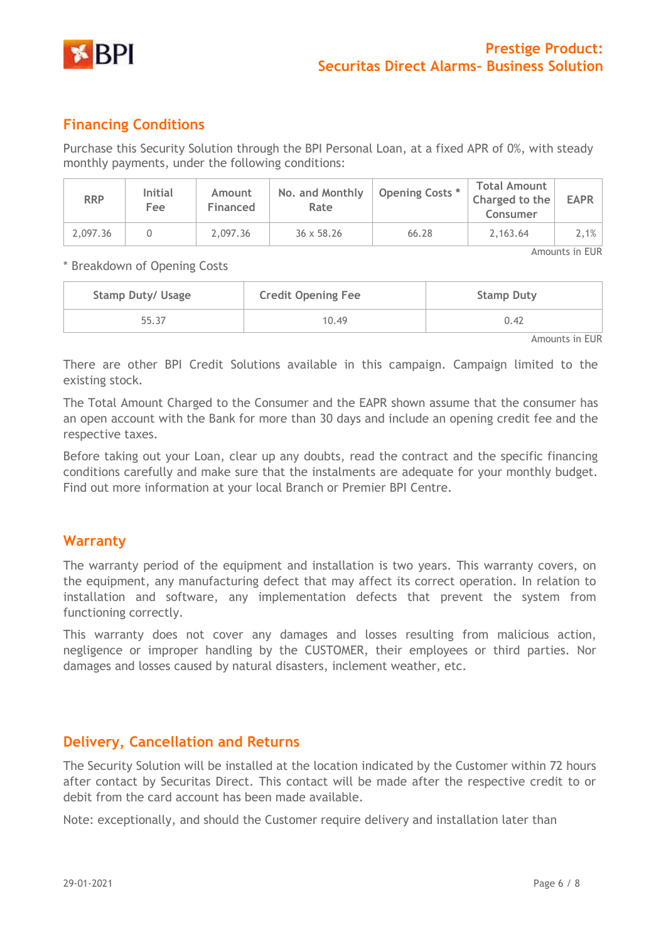

# **Financing Conditions**

Purchase this Security Solution through the BPI Personal Loan, at a fixed APR of 0%, with steady monthly payments, under the following conditions:

| <b>RRP</b>     | <b>Initial</b><br>Fee | Amount<br>Financed | No. and Monthly<br>Rate | Opening Costs * | <b>Total Amount</b><br>Charged to the<br>Consumer | <b>EAPR</b> |  |
|----------------|-----------------------|--------------------|-------------------------|-----------------|---------------------------------------------------|-------------|--|
| 2,097.36       |                       | 2,097.36           | $36 \times 58.26$       | 66.28           | 2,163.64                                          | $2,1\%$     |  |
| Amounts in EUR |                       |                    |                         |                 |                                                   |             |  |

\* Breakdown of Opening Costs

| <b>Stamp Duty/ Usage</b> | <b>Credit Opening Fee</b> | <b>Stamp Duty</b> |
|--------------------------|---------------------------|-------------------|
| 55.37                    | 10.49                     | 0.42              |

Amounts in EUR

There are other BPI Credit Solutions available in this campaign. Campaign limited to the existing stock.

The Total Amount Charged to the Consumer and the EAPR shown assume that the consumer has an open account with the Bank for more than 30 days and include an opening credit fee and the respective taxes.

Before taking out your Loan, clear up any doubts, read the contract and the specific financing conditions carefully and make sure that the instalments are adequate for your monthly budget. Find out more information at your local Branch or Premier BPI Centre.

### **Warranty**

The warranty period of the equipment and installation is two years. This warranty covers, on the equipment, any manufacturing defect that may affect its correct operation. In relation to installation and software, any implementation defects that prevent the system from functioning correctly.

This warranty does not cover any damages and losses resulting from malicious action, negligence or improper handling by the CUSTOMER, their employees or third parties. Nor damages and losses caused by natural disasters, inclement weather, etc.

# **Delivery, Cancellation and Returns**

The Security Solution will be installed at the location indicated by the Customer within 72 hours after contact by Securitas Direct. This contact will be made after the respective credit to or debit from the card account has been made available.

Note: exceptionally, and should the Customer require delivery and installation later than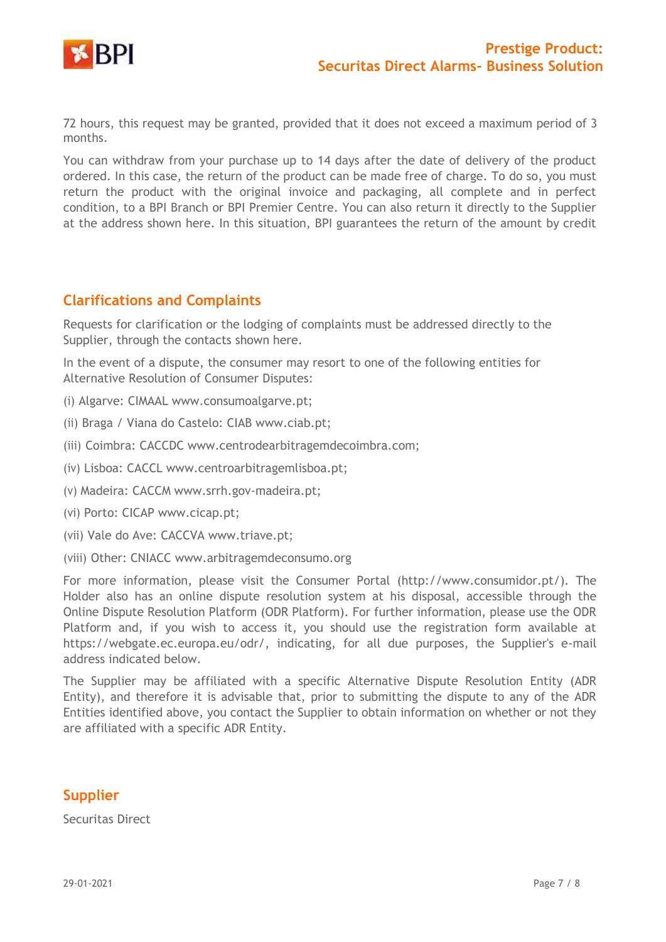

72 hours, this request may be granted, provided that it does not exceed a maximum period of 3 months.

You can withdraw from your purchase up to 14 days after the date of delivery of the product ordered. In this case, the return of the product can be made free of charge. To do so, you must return the product with the original invoice and packaging, all complete and in perfect condition, to a BPI Branch or BPI Premier Centre. You can also return it directly to the Supplier at the address shown here. In this situation, BPI guarantees the return of the amount by credit

## **Clarifications and Complaints**

Requests for clarification or the lodging of complaints must be addressed directly to the Supplier, through the contacts shown here.

In the event of a dispute, the consumer may resort to one of the following entities for Alternative Resolution of Consumer Disputes:

- (i) Algarve: CIMAAL www.consumoalgarve.pt;
- (ii) Braga / Viana do Castelo: CIAB www.ciab.pt;
- (iii) Coimbra: CACCDC www.centrodearbitragemdecoimbra.com;
- (iv) Lisboa: CACCL www.centroarbitragemlisboa.pt;
- (v) Madeira: CACCM www.srrh.gov-madeira.pt;
- (vi) Porto: CICAP www.cicap.pt;
- (vii) Vale do Ave: CACCVA www.triave.pt;
- (viii) Other: CNIACC [www.arbitragemdeconsumo.org](http://www.arbitragemdeconsumo.org/)

For more information, please visit the Consumer Portal [\(http://www.consumidor.pt/\).](http://www.consumidor.pt/)) The Holder also has an online dispute resolution system at his disposal, accessible through the Online Dispute Resolution Platform (ODR Platform). For further information, please use the ODR Platform and, if you wish to access it, you should use the registration form available at https://webgate.ec.europa.eu/odr/, indicating, for all due purposes, the Supplier's e-mail address indicated below.

The Supplier may be affiliated with a specific Alternative Dispute Resolution Entity (ADR Entity), and therefore it is advisable that, prior to submitting the dispute to any of the ADR Entities identified above, you contact the Supplier to obtain information on whether or not they are affiliated with a specific ADR Entity.

# **Supplier**

Securitas Direct